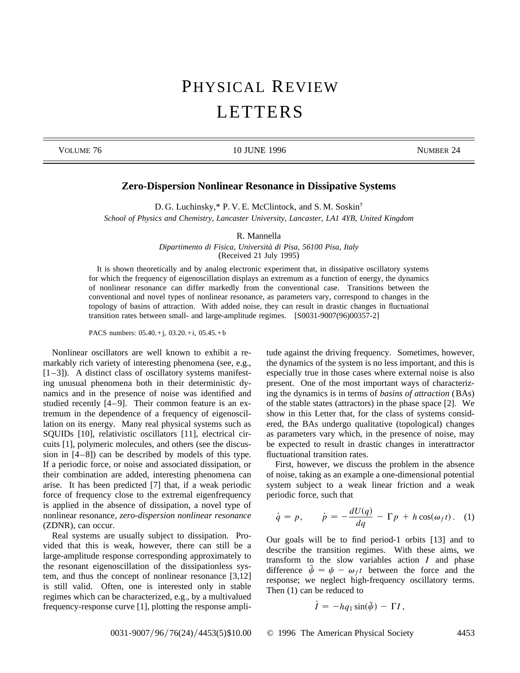## PHYSICAL REVIEW LETTERS

VOLUME 76 10 JUNE 1996 10 JUNE 1996 NUMBER 24

## **Zero-Dispersion Nonlinear Resonance in Dissipative Systems**

D. G. Luchinsky,\* P. V. E. McClintock, and S. M. Soskin†

*School of Physics and Chemistry, Lancaster University, Lancaster, LA1 4YB, United Kingdom*

R. Mannella

*Dipartimento di Fisica, Università di Pisa, 56100 Pisa, Italy* (Received 21 July 1995)

It is shown theoretically and by analog electronic experiment that, in dissipative oscillatory systems for which the frequency of eigenoscillation displays an extremum as a function of energy, the dynamics of nonlinear resonance can differ markedly from the conventional case. Transitions between the conventional and novel types of nonlinear resonance, as parameters vary, correspond to changes in the topology of basins of attraction. With added noise, they can result in drastic changes in fluctuational transition rates between small- and large-amplitude regimes. [S0031-9007(96)00357-2]

PACS numbers: 05.40.+j, 03.20.+i, 05.45.+ b

Nonlinear oscillators are well known to exhibit a remarkably rich variety of interesting phenomena (see, e.g., [1–3]). A distinct class of oscillatory systems manifesting unusual phenomena both in their deterministic dynamics and in the presence of noise was identified and studied recently [4–9]. Their common feature is an extremum in the dependence of a frequency of eigenoscillation on its energy. Many real physical systems such as SQUIDs [10], relativistic oscillators [11], electrical circuits [1], polymeric molecules, and others (see the discussion in [4–8]) can be described by models of this type. If a periodic force, or noise and associated dissipation, or their combination are added, interesting phenomena can arise. It has been predicted [7] that, if a weak periodic force of frequency close to the extremal eigenfrequency is applied in the absence of dissipation, a novel type of nonlinear resonance, *zero-dispersion nonlinear resonance* (ZDNR), can occur.

Real systems are usually subject to dissipation. Provided that this is weak, however, there can still be a large-amplitude response corresponding approximately to the resonant eigenoscillation of the dissipationless system, and thus the concept of nonlinear resonance [3,12] is still valid. Often, one is interested only in stable regimes which can be characterized, e.g., by a multivalued frequency-response curve [1], plotting the response amplitude against the driving frequency. Sometimes, however, the dynamics of the system is no less important, and this is especially true in those cases where external noise is also present. One of the most important ways of characterizing the dynamics is in terms of *basins of attraction* (BAs) of the stable states (attractors) in the phase space [2]. We show in this Letter that, for the class of systems considered, the BAs undergo qualitative (topological) changes as parameters vary which, in the presence of noise, may be expected to result in drastic changes in interattractor fluctuational transition rates.

First, however, we discuss the problem in the absence of noise, taking as an example a one-dimensional potential system subject to a weak linear friction and a weak periodic force, such that

$$
\dot{q} = p
$$
,  $\dot{p} = -\frac{dU(q)}{dq} - \Gamma p + h \cos(\omega_f t)$ . (1)

Our goals will be to find period-1 orbits [13] and to describe the transition regimes. With these aims, we transform to the slow variables action *I* and phase difference  $\tilde{\psi} = \psi - \omega_f t$  between the force and the response; we neglect high-frequency oscillatory terms. Then (1) can be reduced to

$$
\dot{I} = -h q_1 \sin(\tilde{\psi}) - \Gamma I,
$$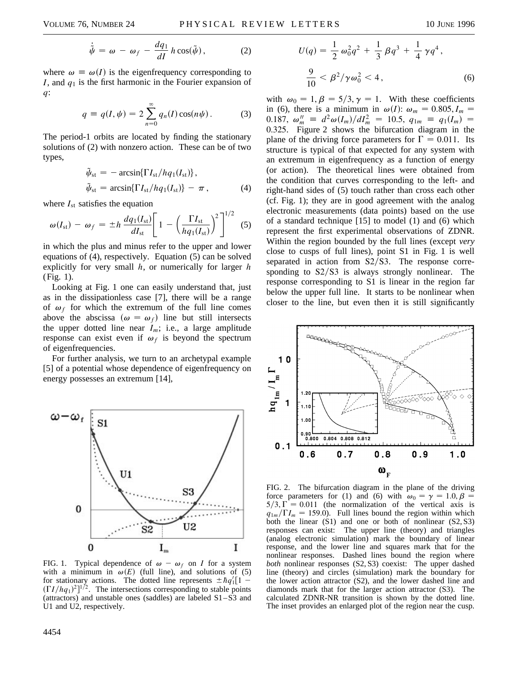$$
\dot{\tilde{\psi}} = \omega - \omega_f - \frac{dq_1}{dI} h \cos(\tilde{\psi}), \qquad (2)
$$

where  $\omega \equiv \omega(I)$  is the eigenfrequency corresponding to *I*, and *q*<sup>1</sup> is the first harmonic in the Fourier expansion of *q*:

$$
q \equiv q(I, \psi) = 2 \sum_{n=0}^{\infty} q_n(I) \cos(n\psi).
$$
 (3)

The period-1 orbits are located by finding the stationary solutions of (2) with nonzero action. These can be of two types,

$$
\tilde{\psi}_{st} = -\arcsin\{\Gamma I_{st}/hq_1(I_{st})\},
$$
\n
$$
\tilde{\psi}_{st} = \arcsin\{\Gamma I_{st}/hq_1(I_{st})\} - \pi,
$$
\n(4)

where  $I_{st}$  satisfies the equation

$$
\omega(I_{\rm st}) - \omega_f = \pm h \frac{dq_1(I_{\rm st})}{dI_{\rm st}} \left[ 1 - \left( \frac{\Gamma I_{\rm st}}{hq_1(I_{\rm st})} \right)^2 \right]^{1/2} \tag{5}
$$

in which the plus and minus refer to the upper and lower equations of (4), respectively. Equation (5) can be solved explicitly for very small *h*, or numerically for larger *h* (Fig. 1).

Looking at Fig. 1 one can easily understand that, just as in the dissipationless case [7], there will be a range of  $\omega_f$  for which the extremum of the full line comes above the abscissa  $(\omega = \omega_f)$  line but still intersects the upper dotted line near  $I_m$ ; i.e., a large amplitude response can exist even if  $\omega_f$  is beyond the spectrum of eigenfrequencies.

For further analysis, we turn to an archetypal example [5] of a potential whose dependence of eigenfrequency on energy possesses an extremum [14],



FIG. 1. Typical dependence of  $\omega - \omega_f$  on *I* for a system with a minimum in  $\omega(E)$  (full line), and solutions of (5) for stationary actions. The dotted line represents  $\pm \hbar q_1^{\prime} [1 (TI/hq_1)^2$ <sup>1/2</sup>. The intersections corresponding to stable points  $(attractors)$  and unstable ones  $(saddles)$  are labeled  $S1-S3$  and U1 and U2, respectively.

$$
U(q) = \frac{1}{2} \omega_0^2 q^2 + \frac{1}{3} \beta q^3 + \frac{1}{4} \gamma q^4,
$$
  

$$
\frac{9}{10} < \beta^2 / \gamma \omega_0^2 < 4,
$$
 (6)

with  $\omega_0 = 1, \beta = 5/3, \gamma = 1$ . With these coefficients in (6), there is a minimum in  $\omega(I)$ :  $\omega_m = 0.805$ ,  $I_m$  =  $0.187, \ \omega_m'' = d^2\omega(I_m)/dI_m^2 = 10.5, \ q_{1m} \equiv q_1(I_m) =$ 0.325. Figure 2 shows the bifurcation diagram in the plane of the driving force parameters for  $\Gamma = 0.011$ . Its structure is typical of that expected for any system with an extremum in eigenfrequency as a function of energy (or action). The theoretical lines were obtained from the condition that curves corresponding to the left- and right-hand sides of (5) touch rather than cross each other (cf. Fig. 1); they are in good agreement with the analog electronic measurements (data points) based on the use of a standard technique [15] to model (1) and (6) which represent the first experimental observations of ZDNR. Within the region bounded by the full lines (except *very* close to cusps of full lines), point S1 in Fig. 1 is well separated in action from  $S2/S3$ . The response corresponding to  $S2/S3$  is always strongly nonlinear. The response corresponding to S1 is linear in the region far below the upper full line. It starts to be nonlinear when closer to the line, but even then it is still significantly



FIG. 2. The bifurcation diagram in the plane of the driving force parameters for (1) and (6) with  $\omega_0 = \gamma = 1.0, \beta =$  $5/3, \overline{\Gamma} = 0.011$  (the normalization of the vertical axis is  $q_{1m}/\Gamma I_m = 159.0$ . Full lines bound the region within which both the linear  $(S1)$  and one or both of nonlinear  $(S2, S3)$ responses can exist: The upper line (theory) and triangles (analog electronic simulation) mark the boundary of linear response, and the lower line and squares mark that for the nonlinear responses. Dashed lines bound the region where *both* nonlinear responses (S2, S3) coexist: The upper dashed line (theory) and circles (simulation) mark the boundary for the lower action attractor (S2), and the lower dashed line and diamonds mark that for the larger action attractor (S3). The calculated ZDNR-NR transition is shown by the dotted line. The inset provides an enlarged plot of the region near the cusp.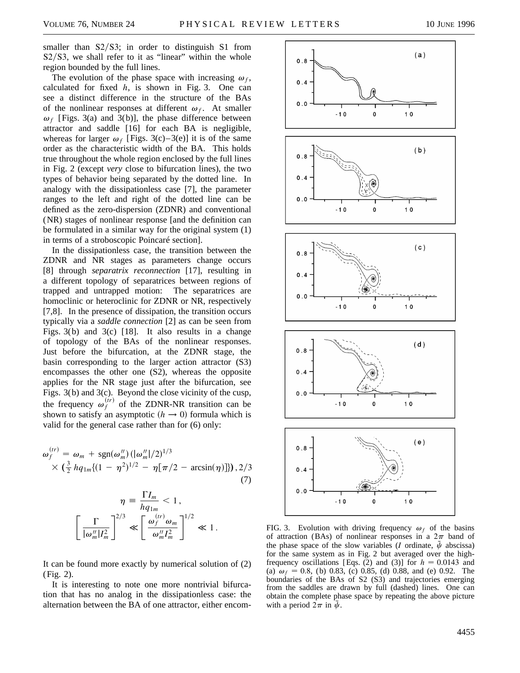smaller than  $S2/S3$ ; in order to distinguish S1 from  $S2/S3$ , we shall refer to it as "linear" within the whole region bounded by the full lines.

The evolution of the phase space with increasing  $\omega_f$ , calculated for fixed *h*, is shown in Fig. 3. One can see a distinct difference in the structure of the BAs of the nonlinear responses at different  $\omega_f$ . At smaller  $\omega_f$  [Figs. 3(a) and 3(b)], the phase difference between attractor and saddle [16] for each BA is negligible, whereas for larger  $\omega_f$  [Figs. 3(c)–3(e)] it is of the same order as the characteristic width of the BA. This holds true throughout the whole region enclosed by the full lines in Fig. 2 (except *very* close to bifurcation lines), the two types of behavior being separated by the dotted line. In analogy with the dissipationless case [7], the parameter ranges to the left and right of the dotted line can be defined as the zero-dispersion (ZDNR) and conventional (NR) stages of nonlinear response [and the definition can be formulated in a similar way for the original system (1) in terms of a stroboscopic Poincaré section].

In the dissipationless case, the transition between the ZDNR and NR stages as parameters change occurs [8] through *separatrix reconnection* [17], resulting in a different topology of separatrices between regions of trapped and untrapped motion: The separatrices are homoclinic or heteroclinic for ZDNR or NR, respectively [7,8]. In the presence of dissipation, the transition occurs typically via a *saddle connection* [2] as can be seen from Figs. 3(b) and 3(c) [18]. It also results in a change of topology of the BAs of the nonlinear responses. Just before the bifurcation, at the ZDNR stage, the basin corresponding to the larger action attractor (S3) encompasses the other one (S2), whereas the opposite applies for the NR stage just after the bifurcation, see Figs. 3(b) and 3(c). Beyond the close vicinity of the cusp, the frequency  $\omega_f^{(ir)}$  of the ZDNR-NR transition can be shown to satisfy an asymptotic  $(h \rightarrow 0)$  formula which is valid for the general case rather than for (6) only:

$$
\omega_f^{(tr)} = \omega_m + \text{sgn}(\omega_m'') (|\omega_m''|/2)^{1/3} \times (\frac{3}{2} h q_{1m} \{(1 - \eta^2)^{1/2} - \eta [\pi/2 - \arcsin(\eta)]\}), 2/3
$$
\n(7)

$$
\eta = \frac{\Gamma I_m}{hq_{1m}} < 1,
$$
  

$$
\left[\frac{\Gamma}{|\omega_m''|I_m^2}\right]^{2/3} \ll \left[\frac{\omega_f^{(tr)}\omega_m}{\omega_m''I_m^2}\right]^{1/2} \ll 1.
$$

It can be found more exactly by numerical solution of (2) (Fig. 2).

It is interesting to note one more nontrivial bifurcation that has no analog in the dissipationless case: the alternation between the BA of one attractor, either encom-



FIG. 3. Evolution with driving frequency  $\omega_f$  of the basins of attraction (BAs) of nonlinear responses in a  $2\pi$  band of the phase space of the slow variables (*I* ordinate,  $\tilde{\psi}$  abscissa) for the same system as in Fig. 2 but averaged over the highfrequency oscillations [Eqs. (2) and (3)] for  $h = 0.0143$  and (a)  $\omega_f = 0.8$ , (b) 0.83, (c) 0.85, (d) 0.88, and (e) 0.92. The boundaries of the BAs of S2 (S3) and trajectories emerging from the saddles are drawn by full (dashed) lines. One can obtain the complete phase space by repeating the above picture with a period  $2\pi$  in  $\psi$ .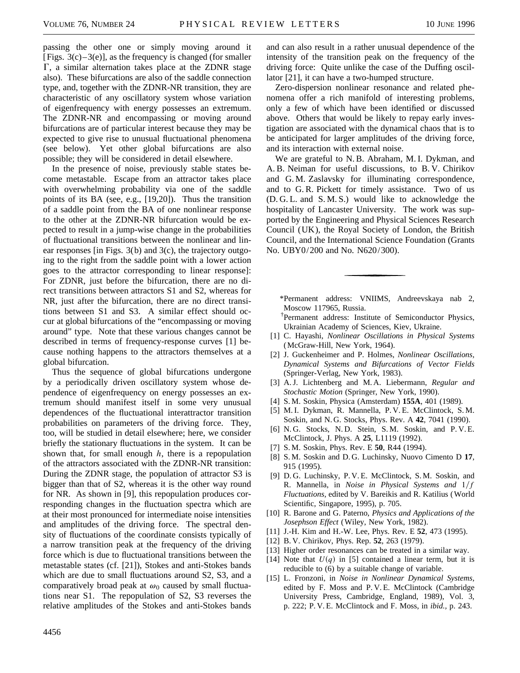passing the other one or simply moving around it [Figs.  $3(c) - 3(e)$ ], as the frequency is changed (for smaller  $\Gamma$ , a similar alternation takes place at the ZDNR stage also). These bifurcations are also of the saddle connection type, and, together with the ZDNR-NR transition, they are characteristic of any oscillatory system whose variation of eigenfrequency with energy possesses an extremum. The ZDNR-NR and encompassing or moving around bifurcations are of particular interest because they may be expected to give rise to unusual fluctuational phenomena (see below). Yet other global bifurcations are also possible; they will be considered in detail elsewhere.

In the presence of noise, previously stable states become metastable. Escape from an attractor takes place with overwhelming probability via one of the saddle points of its BA (see, e.g., [19,20]). Thus the transition of a saddle point from the BA of one nonlinear response to the other at the ZDNR-NR bifurcation would be expected to result in a jump-wise change in the probabilities of fluctuational transitions between the nonlinear and linear responses [in Figs. 3(b) and 3(c), the trajectory outgoing to the right from the saddle point with a lower action goes to the attractor corresponding to linear response]: For ZDNR, just before the bifurcation, there are no direct transitions between attractors S1 and S2, whereas for NR, just after the bifurcation, there are no direct transitions between S1 and S3. A similar effect should occur at global bifurcations of the "encompassing or moving around" type. Note that these various changes cannot be described in terms of frequency-response curves [1] because nothing happens to the attractors themselves at a global bifurcation.

Thus the sequence of global bifurcations undergone by a periodically driven oscillatory system whose dependence of eigenfrequency on energy possesses an extremum should manifest itself in some very unusual dependences of the fluctuational interattractor transition probabilities on parameters of the driving force. They, too, will be studied in detail elsewhere; here, we consider briefly the stationary fluctuations in the system. It can be shown that, for small enough *h*, there is a repopulation of the attractors associated with the ZDNR-NR transition: During the ZDNR stage, the population of attractor S3 is bigger than that of S2, whereas it is the other way round for NR. As shown in [9], this repopulation produces corresponding changes in the fluctuation spectra which are at their most pronounced for intermediate noise intensities and amplitudes of the driving force. The spectral density of fluctuations of the coordinate consists typically of a narrow transition peak at the frequency of the driving force which is due to fluctuational transitions between the metastable states (cf. [21]), Stokes and anti-Stokes bands which are due to small fluctuations around S2, S3, and a comparatively broad peak at  $\omega_0$  caused by small fluctuations near S1. The repopulation of S2, S3 reverses the relative amplitudes of the Stokes and anti-Stokes bands

and can also result in a rather unusual dependence of the intensity of the transition peak on the frequency of the driving force: Quite unlike the case of the Duffing oscillator [21], it can have a two-humped structure.

Zero-dispersion nonlinear resonance and related phenomena offer a rich manifold of interesting problems, only a few of which have been identified or discussed above. Others that would be likely to repay early investigation are associated with the dynamical chaos that is to be anticipated for larger amplitudes of the driving force, and its interaction with external noise.

We are grateful to N. B. Abraham, M. I. Dykman, and A. B. Neiman for useful discussions, to B. V. Chirikov and G. M. Zaslavsky for illuminating correspondence, and to G. R. Pickett for timely assistance. Two of us (D. G. L. and S. M. S.) would like to acknowledge the hospitality of Lancaster University. The work was supported by the Engineering and Physical Sciences Research Council (UK ), the Royal Society of London, the British Council, and the International Science Foundation (Grants No. UBY0/ 200 and No. N620/300).

\*Permanent address: VNIIMS, Andreevskaya nab 2, Moscow 117965, Russia.

† Permanent address: Institute of Semiconductor Physics, Ukrainian Academy of Sciences, Kiev, Ukraine.

- [1] C. Hayashi, *Nonlinear Oscillations in Physical Systems* (McGraw-Hill, New York, 1964).
- [2] J. Guckenheimer and P. Holmes, *Nonlinear Oscillations, Dynamical Systems and Bifurcations of Vector Fields* (Springer-Verlag, New York, 1983).
- [3] A. J. Lichtenberg and M. A. Liebermann, *Regular and Stochastic Motion* (Springer, New York, 1990).
- [4] S. M. Soskin, Physica (Amsterdam) **155A**, 401 (1989).
- [5] M. I. Dykman, R. Mannella, P. V. E. McClintock, S. M. Soskin, and N. G. Stocks, Phys. Rev. A **42**, 7041 (1990).
- [6] N.G. Stocks, N.D. Stein, S.M. Soskin, and P.V.E. McClintock, J. Phys. A **25**, L1119 (1992).
- [7] S. M. Soskin, Phys. Rev. E **50**, R44 (1994).
- [8] S. M. Soskin and D. G. Luchinsky, Nuovo Cimento D **17**, 915 (1995).
- [9] D. G. Luchinsky, P. V. E. McClintock, S. M. Soskin, and R. Mannella, in *Noise in Physical Systems and*  $1/f$ *Fluctuations,* edited by V. Bareikis and R. Katilius (World Scientific, Singapore, 1995), p. 705.
- [10] R. Barone and G. Paterno, *Physics and Applications of the Josephson Effect* (Wiley, New York, 1982).
- [11] J.-H. Kim and H.-W. Lee, Phys. Rev. E **52**, 473 (1995).
- [12] B. V. Chirikov, Phys. Rep. **52**, 263 (1979).
- [13] Higher order resonances can be treated in a similar way.
- [14] Note that  $U(q)$  in [5] contained a linear term, but it is reducible to (6) by a suitable change of variable.
- [15] L. Fronzoni, in *Noise in Nonlinear Dynamical Systems,* edited by F. Moss and P. V. E. McClintock (Cambridge University Press, Cambridge, England, 1989), Vol. 3, p. 222; P. V. E. McClintock and F. Moss, in *ibid.,* p. 243.